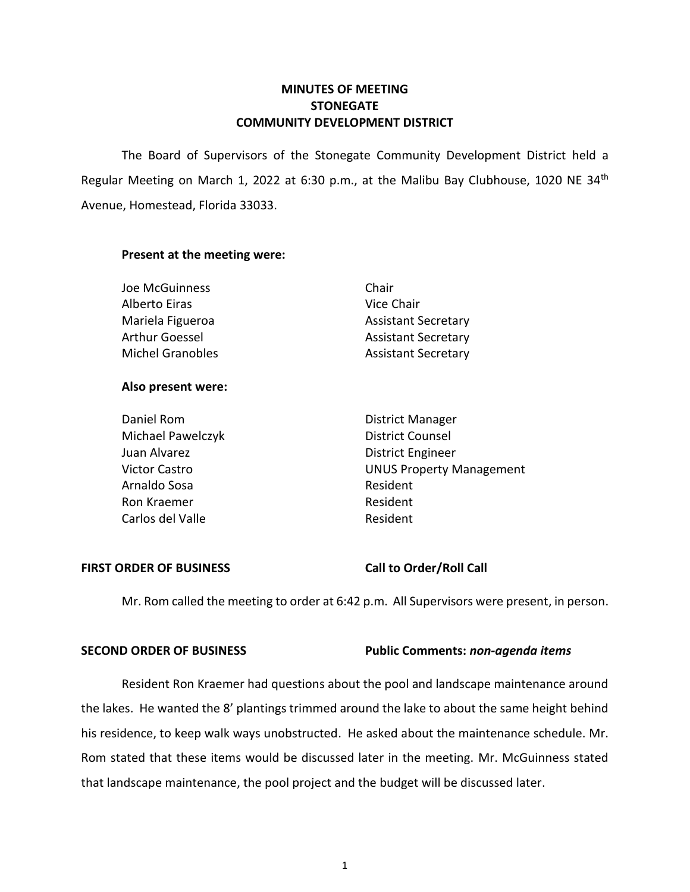## **MINUTES OF MEETING STONEGATE COMMUNITY DEVELOPMENT DISTRICT**

The Board of Supervisors of the Stonegate Community Development District held a Regular Meeting on March 1, 2022 at 6:30 p.m., at the Malibu Bay Clubhouse, 1020 NE 34<sup>th</sup> Avenue, Homestead, Florida 33033.

#### **Present at the meeting were:**

| Joe McGuinness          | Chair                      |
|-------------------------|----------------------------|
| Alberto Eiras           | Vice Chair                 |
| Mariela Figueroa        | <b>Assistant Secretary</b> |
| Arthur Goessel          | <b>Assistant Secretary</b> |
| <b>Michel Granobles</b> | <b>Assistant Secretary</b> |

#### **Also present were:**

| Daniel Rom           | District Manager                |
|----------------------|---------------------------------|
| Michael Pawelczyk    | <b>District Counsel</b>         |
| Juan Alvarez         | <b>District Engineer</b>        |
| <b>Victor Castro</b> | <b>UNUS Property Management</b> |
| Arnaldo Sosa         | Resident                        |
| Ron Kraemer          | Resident                        |
| Carlos del Valle     | Resident                        |
|                      |                                 |

### **FIRST ORDER OF BUSINESS Call to Order/Roll Call**

Mr. Rom called the meeting to order at 6:42 p.m. All Supervisors were present, in person.

### **SECOND ORDER OF BUSINESS Public Comments:** *non-agenda items*

Resident Ron Kraemer had questions about the pool and landscape maintenance around the lakes. He wanted the 8' plantings trimmed around the lake to about the same height behind his residence, to keep walk ways unobstructed. He asked about the maintenance schedule. Mr. Rom stated that these items would be discussed later in the meeting. Mr. McGuinness stated that landscape maintenance, the pool project and the budget will be discussed later.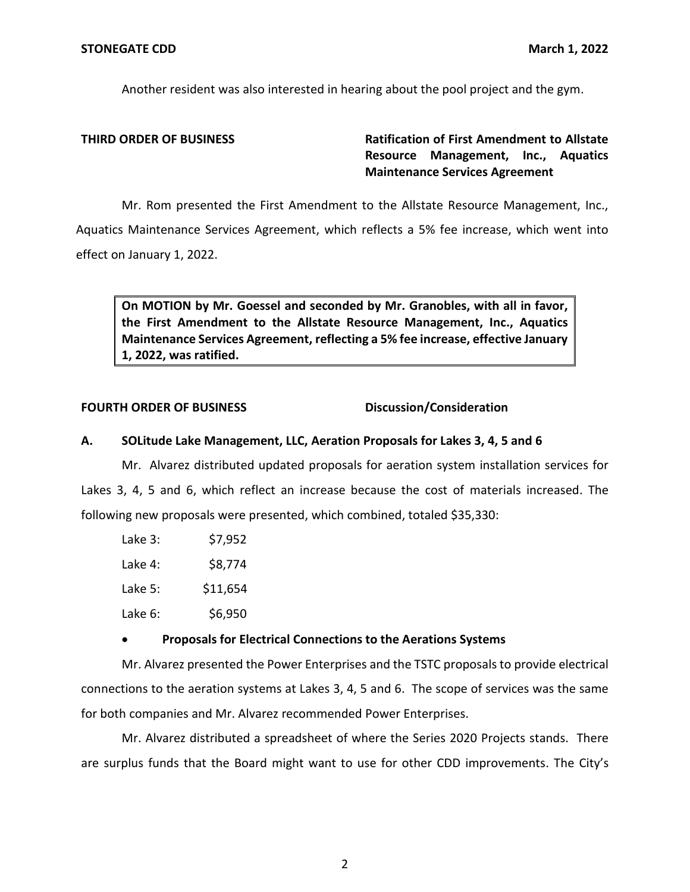Another resident was also interested in hearing about the pool project and the gym.

**THIRD ORDER OF BUSINESS Ratification of First Amendment to Allstate Resource Management, Inc., Aquatics Maintenance Services Agreement** 

Mr. Rom presented the First Amendment to the Allstate Resource Management, Inc., Aquatics Maintenance Services Agreement, which reflects a 5% fee increase, which went into effect on January 1, 2022.

**On MOTION by Mr. Goessel and seconded by Mr. Granobles, with all in favor, the First Amendment to the Allstate Resource Management, Inc., Aquatics Maintenance Services Agreement, reflecting a 5% fee increase, effective January 1, 2022, was ratified.** 

#### **FOURTH ORDER OF BUSINESS Discussion/Consideration**

## **A. SOLitude Lake Management, LLC, Aeration Proposals for Lakes 3, 4, 5 and 6**

Mr. Alvarez distributed updated proposals for aeration system installation services for Lakes 3, 4, 5 and 6, which reflect an increase because the cost of materials increased. The following new proposals were presented, which combined, totaled \$35,330:

| Lake 3: | \$7,952  |
|---------|----------|
| Lake 4: | \$8,774  |
| Lake 5: | \$11,654 |
| Lake 6: | \$6,950  |

## • **Proposals for Electrical Connections to the Aerations Systems**

Mr. Alvarez presented the Power Enterprises and the TSTC proposals to provide electrical connections to the aeration systems at Lakes 3, 4, 5 and 6. The scope of services was the same for both companies and Mr. Alvarez recommended Power Enterprises.

Mr. Alvarez distributed a spreadsheet of where the Series 2020 Projects stands. There are surplus funds that the Board might want to use for other CDD improvements. The City's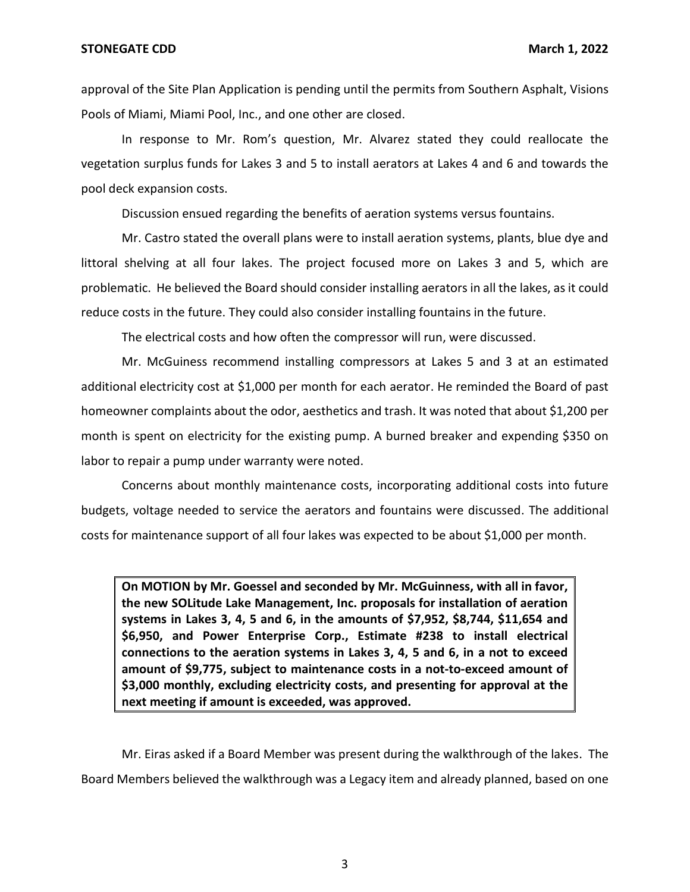approval of the Site Plan Application is pending until the permits from Southern Asphalt, Visions Pools of Miami, Miami Pool, Inc., and one other are closed.

In response to Mr. Rom's question, Mr. Alvarez stated they could reallocate the vegetation surplus funds for Lakes 3 and 5 to install aerators at Lakes 4 and 6 and towards the pool deck expansion costs.

Discussion ensued regarding the benefits of aeration systems versus fountains.

Mr. Castro stated the overall plans were to install aeration systems, plants, blue dye and littoral shelving at all four lakes. The project focused more on Lakes 3 and 5, which are problematic. He believed the Board should consider installing aerators in all the lakes, as it could reduce costs in the future. They could also consider installing fountains in the future.

The electrical costs and how often the compressor will run, were discussed.

Mr. McGuiness recommend installing compressors at Lakes 5 and 3 at an estimated additional electricity cost at \$1,000 per month for each aerator. He reminded the Board of past homeowner complaints about the odor, aesthetics and trash. It was noted that about \$1,200 per month is spent on electricity for the existing pump. A burned breaker and expending \$350 on labor to repair a pump under warranty were noted.

Concerns about monthly maintenance costs, incorporating additional costs into future budgets, voltage needed to service the aerators and fountains were discussed. The additional costs for maintenance support of all four lakes was expected to be about \$1,000 per month.

**On MOTION by Mr. Goessel and seconded by Mr. McGuinness, with all in favor, the new SOLitude Lake Management, Inc. proposals for installation of aeration systems in Lakes 3, 4, 5 and 6, in the amounts of \$7,952, \$8,744, \$11,654 and \$6,950, and Power Enterprise Corp., Estimate #238 to install electrical connections to the aeration systems in Lakes 3, 4, 5 and 6, in a not to exceed amount of \$9,775, subject to maintenance costs in a not-to-exceed amount of \$3,000 monthly, excluding electricity costs, and presenting for approval at the next meeting if amount is exceeded, was approved.** 

Mr. Eiras asked if a Board Member was present during the walkthrough of the lakes. The Board Members believed the walkthrough was a Legacy item and already planned, based on one

3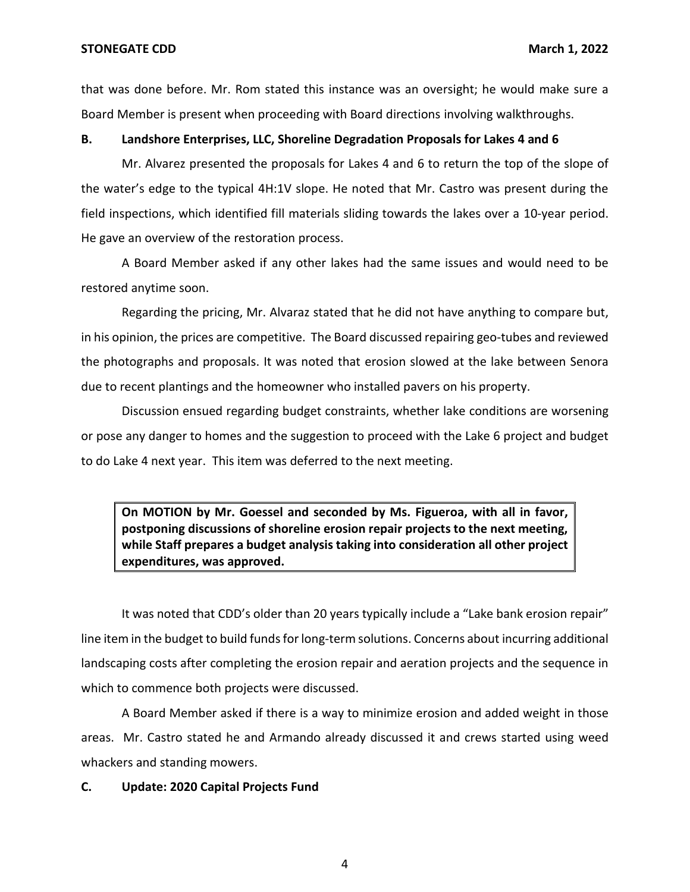that was done before. Mr. Rom stated this instance was an oversight; he would make sure a Board Member is present when proceeding with Board directions involving walkthroughs.

#### **B. Landshore Enterprises, LLC, Shoreline Degradation Proposals for Lakes 4 and 6**

 the water's edge to the typical 4H:1V slope. He noted that Mr. Castro was present during the Mr. Alvarez presented the proposals for Lakes 4 and 6 to return the top of the slope of field inspections, which identified fill materials sliding towards the lakes over a 10-year period. He gave an overview of the restoration process.

A Board Member asked if any other lakes had the same issues and would need to be restored anytime soon.

Regarding the pricing, Mr. Alvaraz stated that he did not have anything to compare but, in his opinion, the prices are competitive. The Board discussed repairing geo-tubes and reviewed the photographs and proposals. It was noted that erosion slowed at the lake between Senora due to recent plantings and the homeowner who installed pavers on his property.

Discussion ensued regarding budget constraints, whether lake conditions are worsening or pose any danger to homes and the suggestion to proceed with the Lake 6 project and budget to do Lake 4 next year. This item was deferred to the next meeting.

**On MOTION by Mr. Goessel and seconded by Ms. Figueroa, with all in favor, postponing discussions of shoreline erosion repair projects to the next meeting, while Staff prepares a budget analysis taking into consideration all other project expenditures, was approved.** 

 It was noted that CDD's older than 20 years typically include a "Lake bank erosion repair" line item in the budget to build funds for long-term solutions. Concerns about incurring additional landscaping costs after completing the erosion repair and aeration projects and the sequence in which to commence both projects were discussed.

A Board Member asked if there is a way to minimize erosion and added weight in those areas. Mr. Castro stated he and Armando already discussed it and crews started using weed whackers and standing mowers.

#### **C. Update: 2020 Capital Projects Fund**

4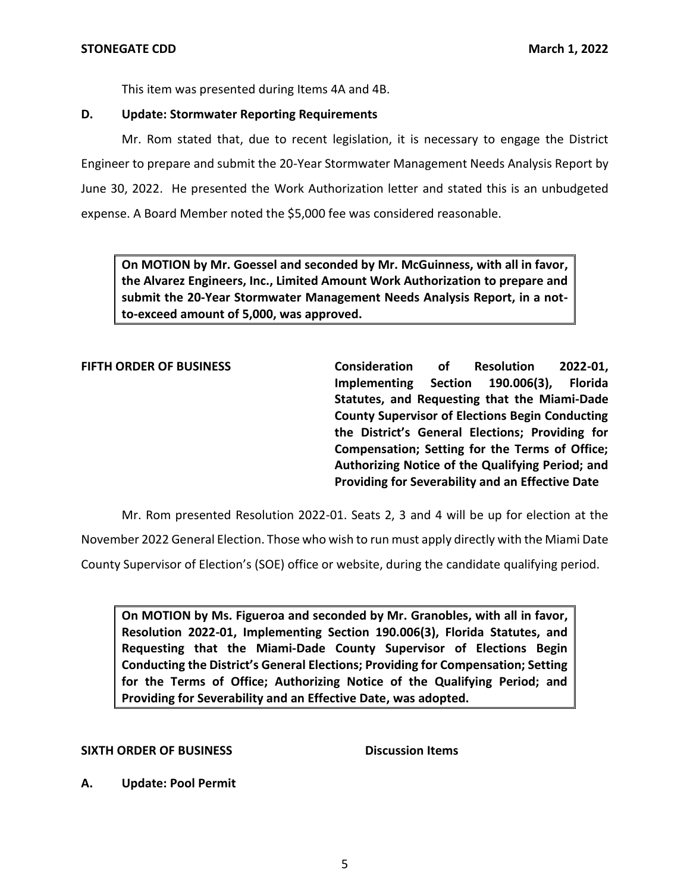This item was presented during Items 4A and 4B.

## **D. Update: Stormwater Reporting Requirements**

Mr. Rom stated that, due to recent legislation, it is necessary to engage the District Engineer to prepare and submit the 20-Year Stormwater Management Needs Analysis Report by June 30, 2022. He presented the Work Authorization letter and stated this is an unbudgeted expense. A Board Member noted the \$5,000 fee was considered reasonable.

**On MOTION by Mr. Goessel and seconded by Mr. McGuinness, with all in favor, the Alvarez Engineers, Inc., Limited Amount Work Authorization to prepare and submit the 20-Year Stormwater Management Needs Analysis Report, in a notto-exceed amount of 5,000, was approved.** 

 **the District's General Elections; Providing for FIFTH ORDER OF BUSINESS Consideration of Resolution 2022-01, Implementing Section 190.006(3), Florida Statutes, and Requesting that the Miami-Dade County Supervisor of Elections Begin Conducting Compensation; Setting for the Terms of Office; Authorizing Notice of the Qualifying Period; and Providing for Severability and an Effective Date** 

Mr. Rom presented Resolution 2022-01. Seats 2, 3 and 4 will be up for election at the

November 2022 General Election. Those who wish to run must apply directly with the Miami Date

County Supervisor of Election's (SOE) office or website, during the candidate qualifying period.

 **Conducting the District's General Elections; Providing for Compensation; Setting On MOTION by Ms. Figueroa and seconded by Mr. Granobles, with all in favor, Resolution 2022-01, Implementing Section 190.006(3), Florida Statutes, and Requesting that the Miami-Dade County Supervisor of Elections Begin for the Terms of Office; Authorizing Notice of the Qualifying Period; and Providing for Severability and an Effective Date, was adopted.** 

### **SIXTH ORDER OF BUSINESS** Discussion Items

**A. Update: Pool Permit**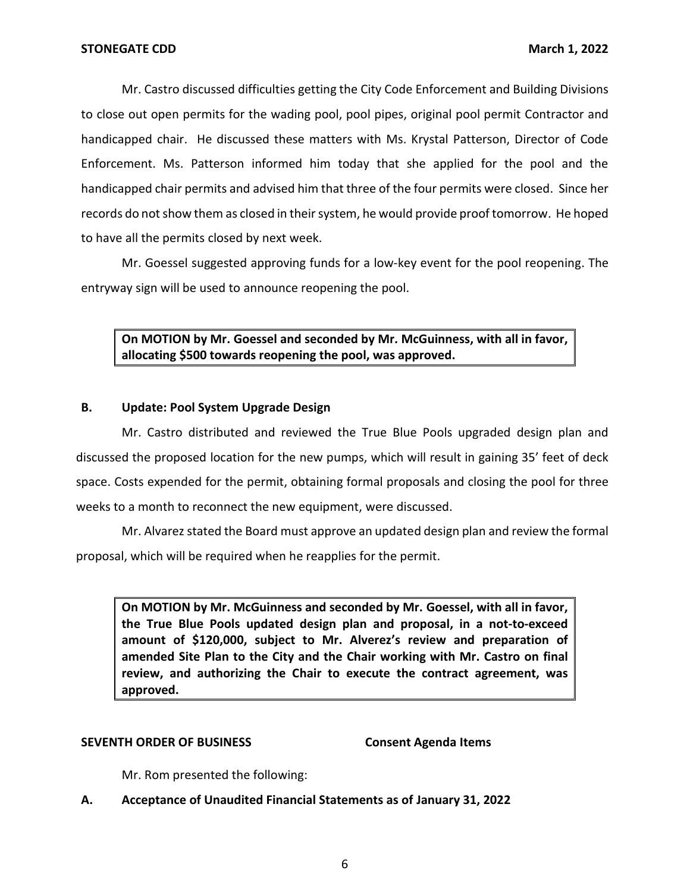Mr. Castro discussed difficulties getting the City Code Enforcement and Building Divisions to close out open permits for the wading pool, pool pipes, original pool permit Contractor and handicapped chair. He discussed these matters with Ms. Krystal Patterson, Director of Code Enforcement. Ms. Patterson informed him today that she applied for the pool and the handicapped chair permits and advised him that three of the four permits were closed. Since her records do not show them as closed in their system, he would provide proof tomorrow. He hoped to have all the permits closed by next week.

Mr. Goessel suggested approving funds for a low-key event for the pool reopening. The entryway sign will be used to announce reopening the pool.

**On MOTION by Mr. Goessel and seconded by Mr. McGuinness, with all in favor, allocating \$500 towards reopening the pool, was approved.** 

## **B. Update: Pool System Upgrade Design**

 discussed the proposed location for the new pumps, which will result in gaining 35' feet of deck Mr. Castro distributed and reviewed the True Blue Pools upgraded design plan and space. Costs expended for the permit, obtaining formal proposals and closing the pool for three weeks to a month to reconnect the new equipment, were discussed.

Mr. Alvarez stated the Board must approve an updated design plan and review the formal proposal, which will be required when he reapplies for the permit.

**On MOTION by Mr. McGuinness and seconded by Mr. Goessel, with all in favor, the True Blue Pools updated design plan and proposal, in a not-to-exceed amount of \$120,000, subject to Mr. Alverez's review and preparation of amended Site Plan to the City and the Chair working with Mr. Castro on final review, and authorizing the Chair to execute the contract agreement, was approved.** 

### **SEVENTH ORDER OF BUSINESS Consent Agenda Items**

Mr. Rom presented the following:

**A. Acceptance of Unaudited Financial Statements as of January 31, 2022**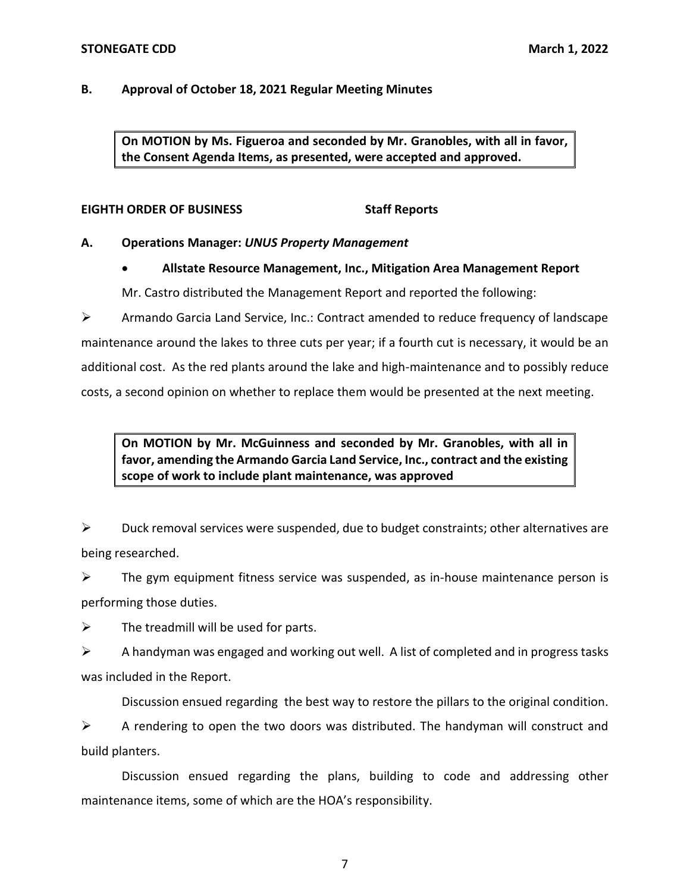## **B. Approval of October 18, 2021 Regular Meeting Minutes**

**On MOTION by Ms. Figueroa and seconded by Mr. Granobles, with all in favor, the Consent Agenda Items, as presented, were accepted and approved.** 

## **EIGHTH ORDER OF BUSINESS STAFF REPORTS**

## **A. Operations Manager:** *UNUS Property Management*

• **Allstate Resource Management, Inc., Mitigation Area Management Report** 

Mr. Castro distributed the Management Report and reported the following:

 $\triangleright$  Armando Garcia Land Service, Inc.: Contract amended to reduce frequency of landscape maintenance around the lakes to three cuts per year; if a fourth cut is necessary, it would be an additional cost. As the red plants around the lake and high-maintenance and to possibly reduce costs, a second opinion on whether to replace them would be presented at the next meeting.

# **On MOTION by Mr. McGuinness and seconded by Mr. Granobles, with all in favor, amending the Armando Garcia Land Service, Inc., contract and the existing scope of work to include plant maintenance, was approved**

 $\triangleright$  Duck removal services were suspended, due to budget constraints; other alternatives are being researched.

 $\triangleright$  The gym equipment fitness service was suspended, as in-house maintenance person is performing those duties.

 $\triangleright$  The treadmill will be used for parts.

 $\triangleright$  A handyman was engaged and working out well. A list of completed and in progress tasks was included in the Report.

Discussion ensued regarding the best way to restore the pillars to the original condition.

 $\triangleright$  A rendering to open the two doors was distributed. The handyman will construct and build planters.

 maintenance items, some of which are the HOA's responsibility. Discussion ensued regarding the plans, building to code and addressing other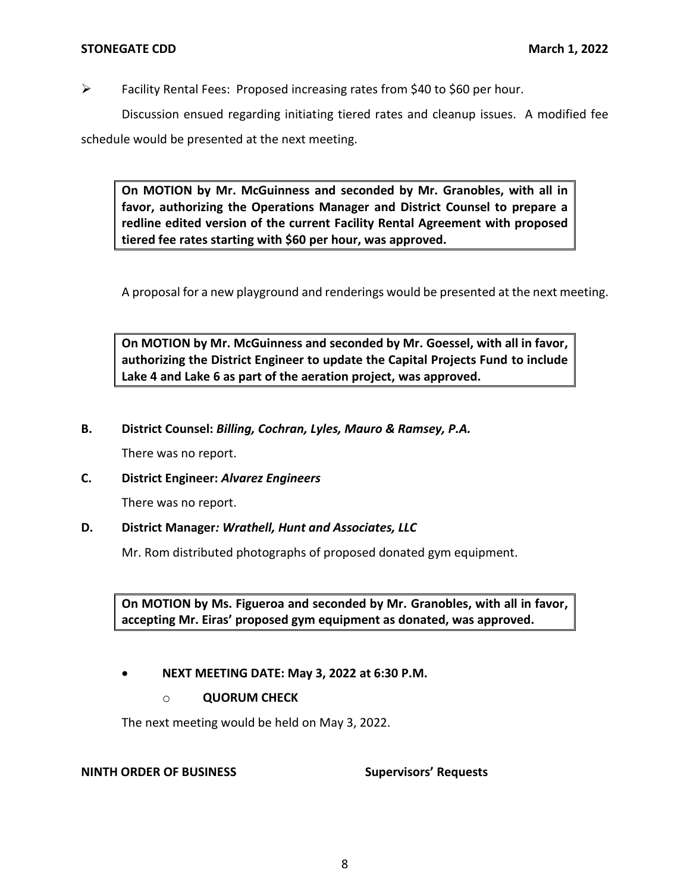➢ Facility Rental Fees: Proposed increasing rates from \$40 to \$60 per hour.

Discussion ensued regarding initiating tiered rates and cleanup issues. A modified fee schedule would be presented at the next meeting.

**On MOTION by Mr. McGuinness and seconded by Mr. Granobles, with all in favor, authorizing the Operations Manager and District Counsel to prepare a redline edited version of the current Facility Rental Agreement with proposed tiered fee rates starting with \$60 per hour, was approved.** 

A proposal for a new playground and renderings would be presented at the next meeting.

**On MOTION by Mr. McGuinness and seconded by Mr. Goessel, with all in favor, authorizing the District Engineer to update the Capital Projects Fund to include Lake 4 and Lake 6 as part of the aeration project, was approved.** 

## **B. District Counsel:** *Billing, Cochran, Lyles, Mauro & Ramsey, P.A.*

There was no report.

## **C. District Engineer:** *Alvarez Engineers*

There was no report.

### **D. District Manager***: Wrathell, Hunt and Associates, LLC*

Mr. Rom distributed photographs of proposed donated gym equipment.

 **accepting Mr. Eiras' proposed gym equipment as donated, was approved. On MOTION by Ms. Figueroa and seconded by Mr. Granobles, with all in favor,** 

## • **NEXT MEETING DATE: May 3, 2022 at 6:30 P.M.**

## o **QUORUM CHECK**

The next meeting would be held on May 3, 2022.

### **NINTH ORDER OF BUSINESS**

**Supervisors' Requests**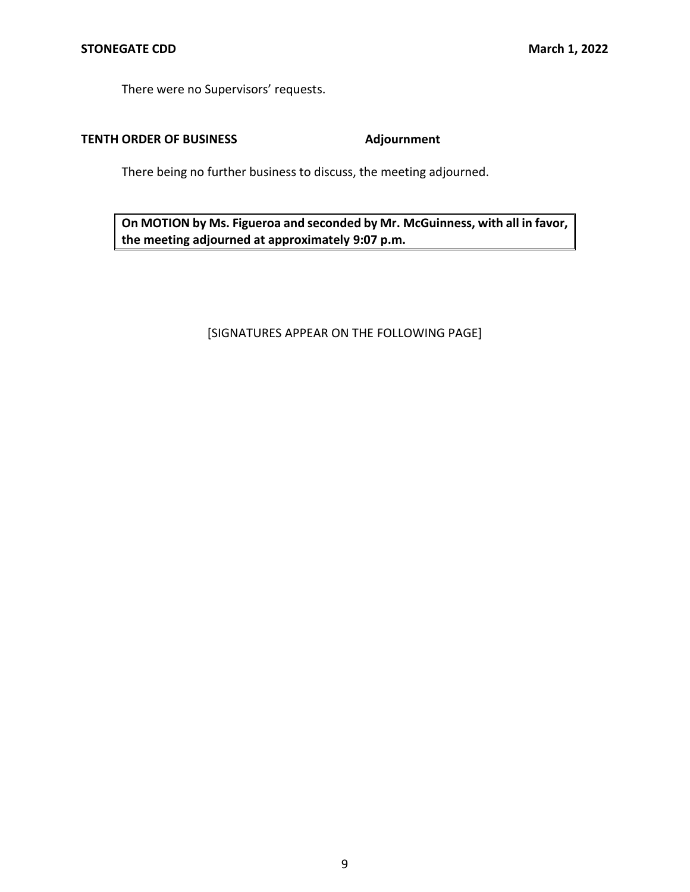There were no Supervisors' requests.

# **TENTH ORDER OF BUSINESS Adjournment**

There being no further business to discuss, the meeting adjourned.

**On MOTION by Ms. Figueroa and seconded by Mr. McGuinness, with all in favor, the meeting adjourned at approximately 9:07 p.m.** 

# [SIGNATURES APPEAR ON THE FOLLOWING PAGE]